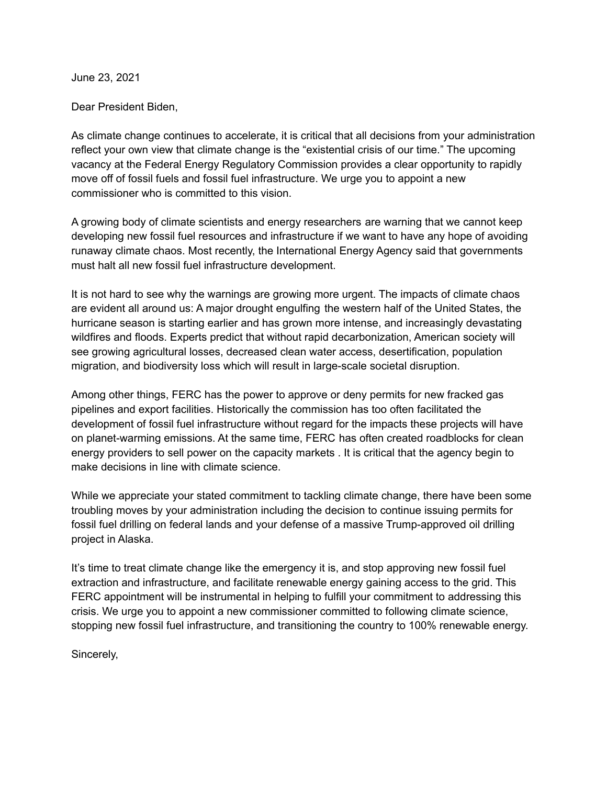June 23, 2021

Dear President Biden,

As climate change continues to accelerate, it is critical that all decisions from your administration reflect your own view that climate change is the "existential crisis of our time." The upcoming vacancy at the Federal Energy Regulatory Commission provides a clear opportunity to rapidly move off of fossil fuels and fossil fuel infrastructure. We urge you to appoint a new commissioner who is committed to this vision.

A growing body of climate scientists and energy researchers are warning that we cannot keep developing new fossil fuel resources and infrastructure if we want to have any hope of avoiding runaway climate chaos. Most recently, the International Energy Agency said that governments must halt all new fossil fuel infrastructure development.

It is not hard to see why the warnings are growing more urgent. The impacts of climate chaos are evident all around us: A major drought engulfing the western half of the United States, the hurricane season is starting earlier and has grown more intense, and increasingly devastating wildfires and floods. Experts predict that without rapid decarbonization, American society will see growing agricultural losses, decreased clean water access, desertification, population migration, and biodiversity loss which will result in large-scale societal disruption.

Among other things, FERC has the power to approve or deny permits for new fracked gas pipelines and export facilities. Historically the commission has too often facilitated the development of fossil fuel infrastructure without regard for the impacts these projects will have on planet-warming emissions. At the same time, FERC has often created roadblocks for clean energy providers to sell power on the capacity markets . It is critical that the agency begin to make decisions in line with climate science.

While we appreciate your stated commitment to tackling climate change, there have been some troubling moves by your administration including the decision to continue issuing permits for fossil fuel drilling on federal lands and your defense of a massive Trump-approved oil drilling project in Alaska.

It's time to treat climate change like the emergency it is, and stop approving new fossil fuel extraction and infrastructure, and facilitate renewable energy gaining access to the grid. This FERC appointment will be instrumental in helping to fulfill your commitment to addressing this crisis. We urge you to appoint a new commissioner committed to following climate science, stopping new fossil fuel infrastructure, and transitioning the country to 100% renewable energy.

Sincerely,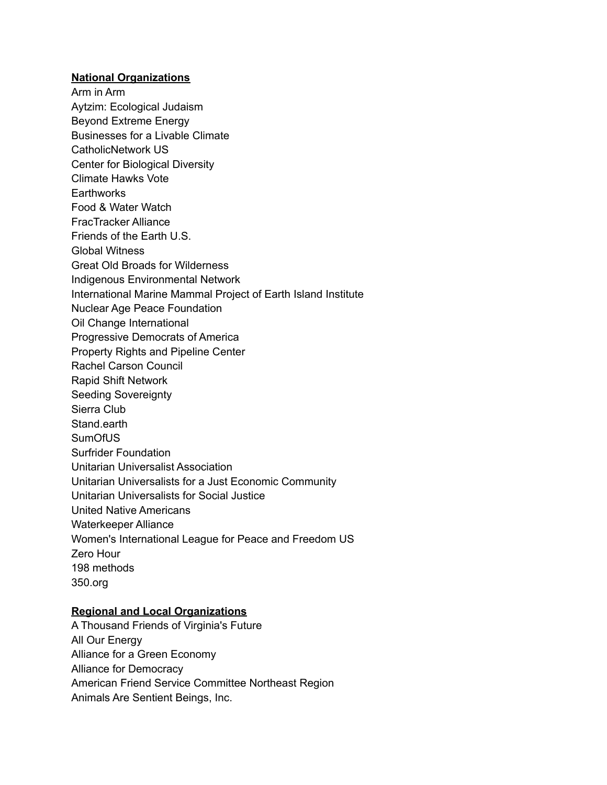## **National Organizations**

Arm in Arm Aytzim: Ecological Judaism Beyond Extreme Energy Businesses for a Livable Climate CatholicNetwork US Center for Biological Diversity Climate Hawks Vote **Earthworks** Food & Water Watch FracTracker Alliance Friends of the Earth U.S. Global Witness Great Old Broads for Wilderness Indigenous Environmental Network International Marine Mammal Project of Earth Island Institute Nuclear Age Peace Foundation Oil Change International Progressive Democrats of America Property Rights and Pipeline Center Rachel Carson Council Rapid Shift Network Seeding Sovereignty Sierra Club Stand.earth SumOfUS Surfrider Foundation Unitarian Universalist Association Unitarian Universalists for a Just Economic Community Unitarian Universalists for Social Justice United Native Americans Waterkeeper Alliance Women's International League for Peace and Freedom US Zero Hour 198 methods 350.org

## **Regional and Local Organizations**

A Thousand Friends of Virginia's Future All Our Energy Alliance for a Green Economy Alliance for Democracy American Friend Service Committee Northeast Region Animals Are Sentient Beings, Inc.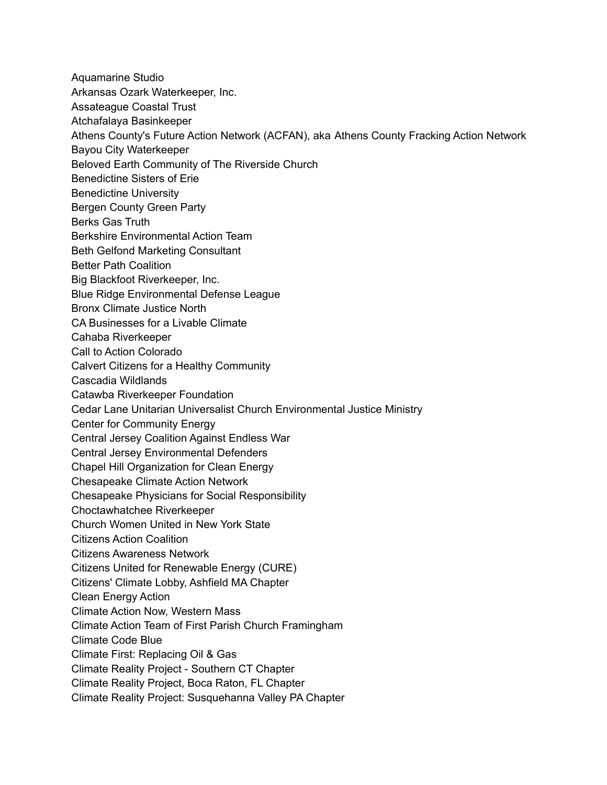- Aquamarine Studio
- Arkansas Ozark Waterkeeper, Inc.
- Assateague Coastal Trust
- Atchafalaya Basinkeeper
- Athens County's Future Action Network (ACFAN), aka Athens County Fracking Action Network
- Bayou City Waterkeeper
- Beloved Earth Community of The Riverside Church
- Benedictine Sisters of Erie
- Benedictine University
- Bergen County Green Party
- Berks Gas Truth
- Berkshire Environmental Action Team
- Beth Gelfond Marketing Consultant
- Better Path Coalition
- Big Blackfoot Riverkeeper, Inc.
- Blue Ridge Environmental Defense League
- Bronx Climate Justice North
- CA Businesses for a Livable Climate
- Cahaba Riverkeeper
- Call to Action Colorado
- Calvert Citizens for a Healthy Community
- Cascadia Wildlands
- Catawba Riverkeeper Foundation
- Cedar Lane Unitarian Universalist Church Environmental Justice Ministry
- Center for Community Energy
- Central Jersey Coalition Against Endless War
- Central Jersey Environmental Defenders
- Chapel Hill Organization for Clean Energy
- Chesapeake Climate Action Network
- Chesapeake Physicians for Social Responsibility
- Choctawhatchee Riverkeeper
- Church Women United in New York State
- Citizens Action Coalition
- Citizens Awareness Network
- Citizens United for Renewable Energy (CURE)
- Citizens' Climate Lobby, Ashfield MA Chapter
- Clean Energy Action
- Climate Action Now, Western Mass
- Climate Action Team of First Parish Church Framingham
- Climate Code Blue
- Climate First: Replacing Oil & Gas
- Climate Reality Project Southern CT Chapter
- Climate Reality Project, Boca Raton, FL Chapter
- Climate Reality Project: Susquehanna Valley PA Chapter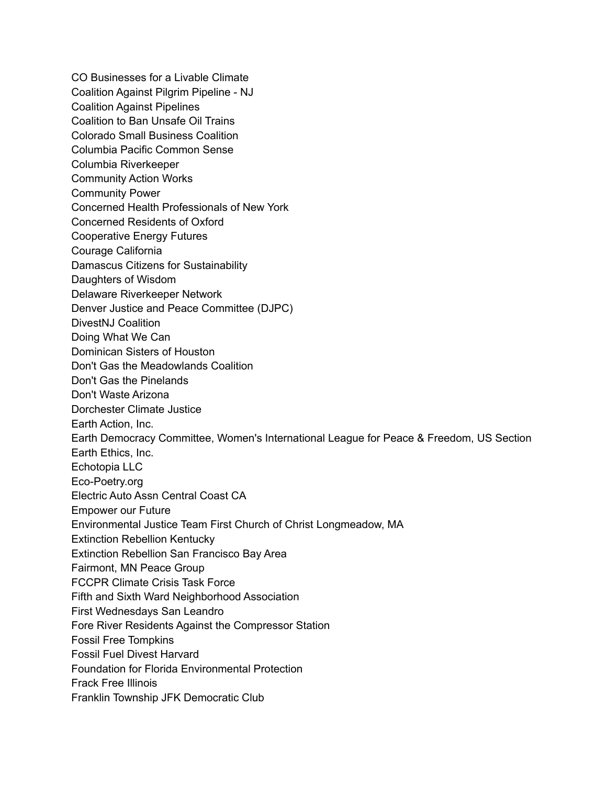CO Businesses for a Livable Climate Coalition Against Pilgrim Pipeline - NJ Coalition Against Pipelines Coalition to Ban Unsafe Oil Trains Colorado Small Business Coalition Columbia Pacific Common Sense Columbia Riverkeeper Community Action Works Community Power Concerned Health Professionals of New York Concerned Residents of Oxford Cooperative Energy Futures Courage California Damascus Citizens for Sustainability Daughters of Wisdom Delaware Riverkeeper Network Denver Justice and Peace Committee (DJPC) DivestNJ Coalition Doing What We Can Dominican Sisters of Houston Don't Gas the Meadowlands Coalition Don't Gas the Pinelands Don't Waste Arizona Dorchester Climate Justice Earth Action, Inc. Earth Democracy Committee, Women's International League for Peace & Freedom, US Section Earth Ethics, Inc. Echotopia LLC Eco-Poetry.org Electric Auto Assn Central Coast CA Empower our Future Environmental Justice Team First Church of Christ Longmeadow, MA Extinction Rebellion Kentucky Extinction Rebellion San Francisco Bay Area Fairmont, MN Peace Group FCCPR Climate Crisis Task Force Fifth and Sixth Ward Neighborhood Association First Wednesdays San Leandro Fore River Residents Against the Compressor Station Fossil Free Tompkins Fossil Fuel Divest Harvard Foundation for Florida Environmental Protection Frack Free Illinois Franklin Township JFK Democratic Club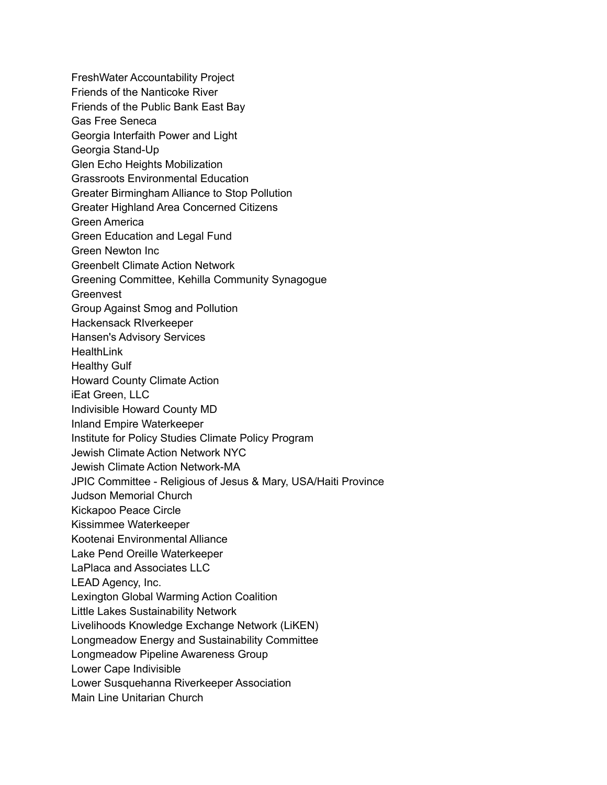FreshWater Accountability Project Friends of the Nanticoke River Friends of the Public Bank East Bay Gas Free Seneca Georgia Interfaith Power and Light Georgia Stand-Up Glen Echo Heights Mobilization Grassroots Environmental Education Greater Birmingham Alliance to Stop Pollution Greater Highland Area Concerned Citizens Green America Green Education and Legal Fund Green Newton Inc Greenbelt Climate Action Network Greening Committee, Kehilla Community Synagogue **Greenvest** Group Against Smog and Pollution Hackensack RIverkeeper Hansen's Advisory Services **HealthLink** Healthy Gulf Howard County Climate Action iEat Green, LLC Indivisible Howard County MD Inland Empire Waterkeeper Institute for Policy Studies Climate Policy Program Jewish Climate Action Network NYC Jewish Climate Action Network-MA JPIC Committee - Religious of Jesus & Mary, USA/Haiti Province Judson Memorial Church Kickapoo Peace Circle Kissimmee Waterkeeper Kootenai Environmental Alliance Lake Pend Oreille Waterkeeper LaPlaca and Associates LLC LEAD Agency, Inc. Lexington Global Warming Action Coalition Little Lakes Sustainability Network Livelihoods Knowledge Exchange Network (LiKEN) Longmeadow Energy and Sustainability Committee Longmeadow Pipeline Awareness Group Lower Cape Indivisible Lower Susquehanna Riverkeeper Association Main Line Unitarian Church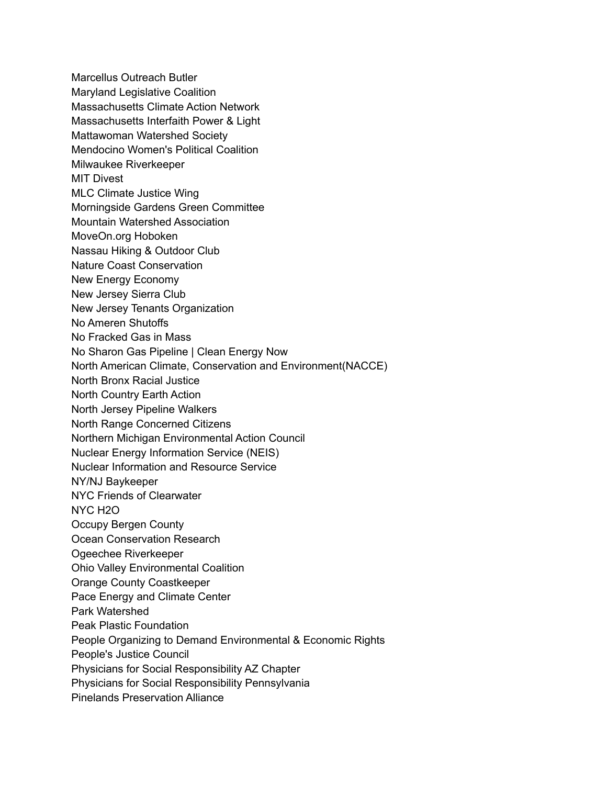Marcellus Outreach Butler Maryland Legislative Coalition Massachusetts Climate Action Network Massachusetts Interfaith Power & Light Mattawoman Watershed Society Mendocino Women's Political Coalition Milwaukee Riverkeeper MIT Divest MLC Climate Justice Wing Morningside Gardens Green Committee Mountain Watershed Association MoveOn.org Hoboken Nassau Hiking & Outdoor Club Nature Coast Conservation New Energy Economy New Jersey Sierra Club New Jersey Tenants Organization No Ameren Shutoffs No Fracked Gas in Mass No Sharon Gas Pipeline | Clean Energy Now North American Climate, Conservation and Environment(NACCE) North Bronx Racial Justice North Country Earth Action North Jersey Pipeline Walkers North Range Concerned Citizens Northern Michigan Environmental Action Council Nuclear Energy Information Service (NEIS) Nuclear Information and Resource Service NY/NJ Baykeeper NYC Friends of Clearwater NYC H2O Occupy Bergen County Ocean Conservation Research Ogeechee Riverkeeper Ohio Valley Environmental Coalition Orange County Coastkeeper Pace Energy and Climate Center Park Watershed Peak Plastic Foundation People Organizing to Demand Environmental & Economic Rights People's Justice Council Physicians for Social Responsibility AZ Chapter Physicians for Social Responsibility Pennsylvania Pinelands Preservation Alliance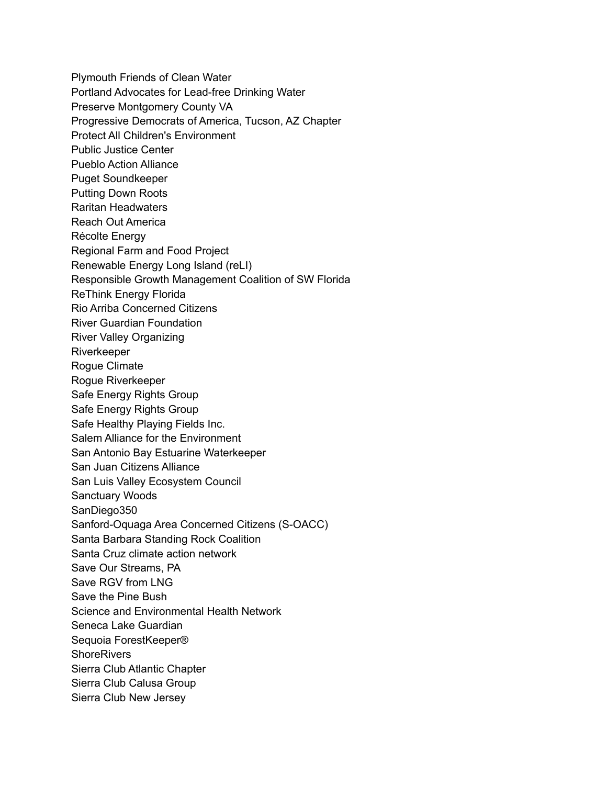Plymouth Friends of Clean Water Portland Advocates for Lead-free Drinking Water Preserve Montgomery County VA Progressive Democrats of America, Tucson, AZ Chapter Protect All Children's Environment Public Justice Center Pueblo Action Alliance Puget Soundkeeper Putting Down Roots Raritan Headwaters Reach Out America Récolte Energy Regional Farm and Food Project Renewable Energy Long Island (reLI) Responsible Growth Management Coalition of SW Florida ReThink Energy Florida Rio Arriba Concerned Citizens River Guardian Foundation River Valley Organizing Riverkeeper Rogue Climate Rogue Riverkeeper Safe Energy Rights Group Safe Energy Rights Group Safe Healthy Playing Fields Inc. Salem Alliance for the Environment San Antonio Bay Estuarine Waterkeeper San Juan Citizens Alliance San Luis Valley Ecosystem Council Sanctuary Woods SanDiego350 Sanford-Oquaga Area Concerned Citizens (S-OACC) Santa Barbara Standing Rock Coalition Santa Cruz climate action network Save Our Streams, PA Save RGV from LNG Save the Pine Bush Science and Environmental Health Network Seneca Lake Guardian Sequoia ForestKeeper® **ShoreRivers** Sierra Club Atlantic Chapter Sierra Club Calusa Group Sierra Club New Jersey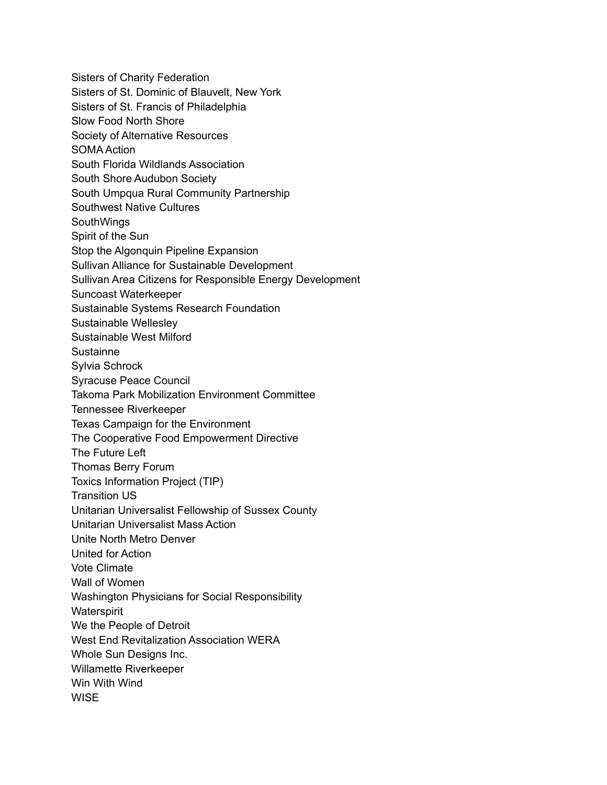Sisters of Charity Federation Sisters of St. Dominic of Blauvelt, New York Sisters of St. Francis of Philadelphia Slow Food North Shore Society of Alternative Resources SOMA Action South Florida Wildlands Association South Shore Audubon Society South Umpqua Rural Community Partnership Southwest Native Cultures **SouthWings** Spirit of the Sun Stop the Algonquin Pipeline Expansion Sullivan Alliance for Sustainable Development Sullivan Area Citizens for Responsible Energy Development Suncoast Waterkeeper Sustainable Systems Research Foundation Sustainable Wellesley Sustainable West Milford **Sustainne** Sylvia Schrock Syracuse Peace Council Takoma Park Mobilization Environment Committee Tennessee Riverkeeper Texas Campaign for the Environment The Cooperative Food Empowerment Directive The Future Left Thomas Berry Forum Toxics Information Project (TIP) Transition US Unitarian Universalist Fellowship of Sussex County Unitarian Universalist Mass Action Unite North Metro Denver United for Action Vote Climate Wall of Women Washington Physicians for Social Responsibility **Waterspirit** We the People of Detroit West End Revitalization Association WERA Whole Sun Designs Inc. Willamette Riverkeeper Win With Wind **WISE**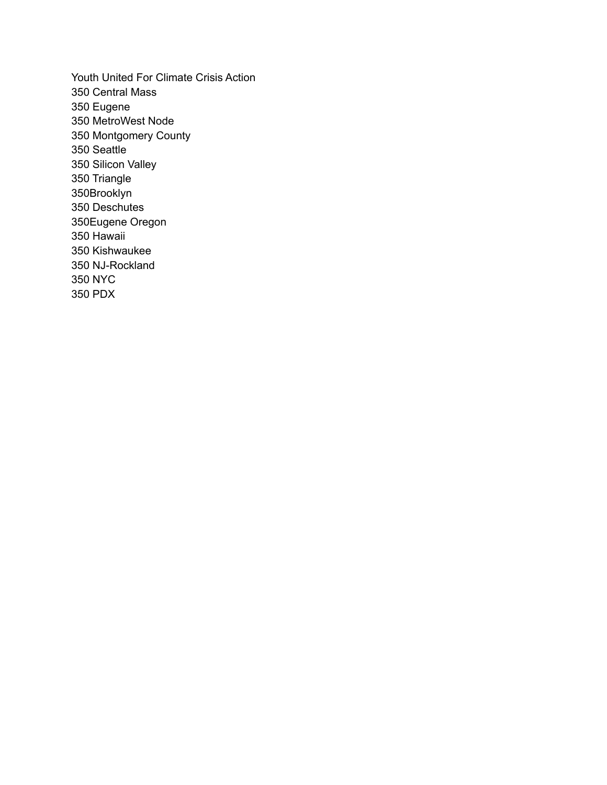Youth United For Climate Crisis Action Central Mass Eugene MetroWest Node Montgomery County Seattle Silicon Valley Triangle 350Brooklyn Deschutes 350Eugene Oregon Hawaii Kishwaukee NJ-Rockland NYC PDX